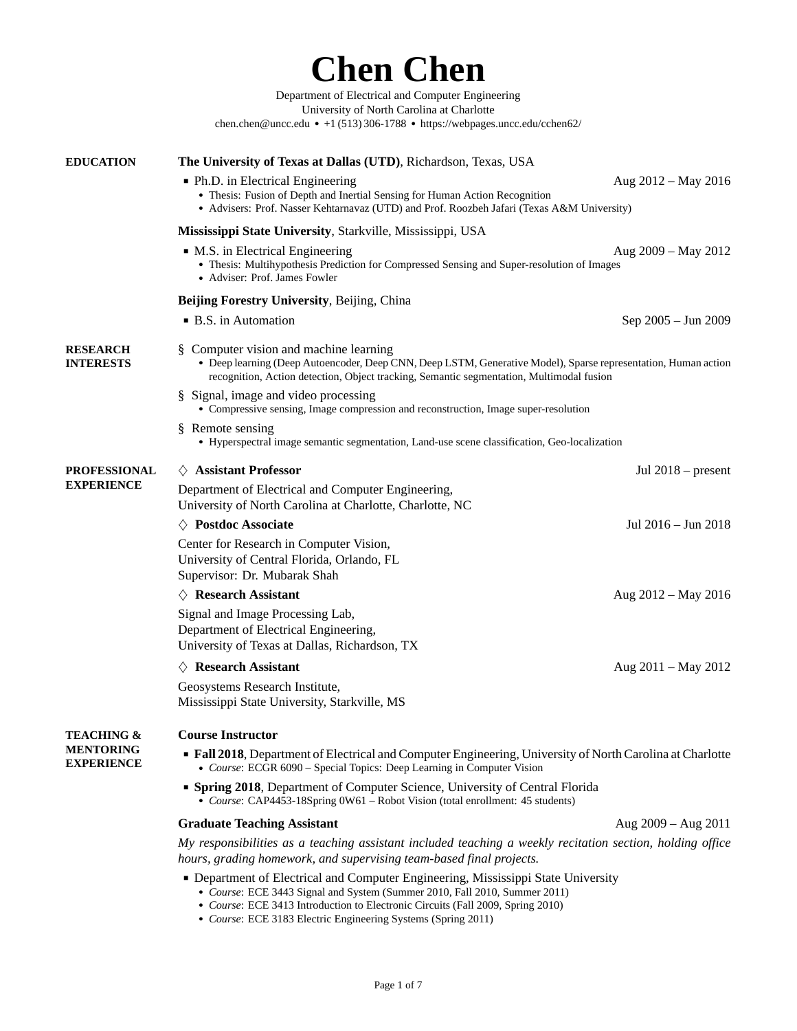[Department of Electrical and Computer Engineering](https://webpages.uncc.edu/cchen62/) [University of North Carolina at Charlotte](https://webpages.uncc.edu/cchen62/) [chen.chen@uncc.edu](mailto:chen.chen@uncc.edu) • +1 (513) 306-1788 • <https://webpages.uncc.edu/cchen62/> **EDUCATION [The University of Texas at Dallas \(UTD\)](http://www.utdallas.edu/)**, Richardson, Texas, USA ■ Ph.D. in Electrical Engineering Aug 2012 – May 2016 • Thesis: Fusion of Depth and Inertial Sensing for Human Action Recognition ● Advisers: Prof. Nasser Kehtarnavaz (UTD) and Prof. Roozbeh Jafari (Texas A&M University) **[Mississippi State University](https://www.msstate.edu/)**, Starkville, Mississippi, USA ■ M.S. in Electrical Engineering and all the set of the Aug 2009 – May 2012 ● Thesis: Multihypothesis Prediction for Compressed Sensing and Super-resolution of Images ● Adviser: Prof. James Fowler **[Beijing Forestry University](http://www.bjfu.edu.cn/)**, Beijing, China ■ B.S. in Automation Sep 2005 – Jun 2009 **RESEARCH INTERESTS** § Computer vision and machine learning ● Deep learning (Deep Autoencoder, Deep CNN, Deep LSTM, Generative Model), Sparse representation, Human action recognition, Action detection, Object tracking, Semantic segmentation, Multimodal fusion § Signal, image and video processing ● Compressive sensing, Image compression and reconstruction, Image super-resolution § Remote sensing ● Hyperspectral image semantic segmentation, Land-use scene classification, Geo-localization **PROFESSIONAL EXPERIENCE** *♢* **Assistant Professor** Jul 2018 – present Department of Electrical and Computer Engineering, University of North Carolina at Charlotte, Charlotte, NC *♢* **Postdoc Associate** Jul 2016 – Jun 2018 Center for Research in Computer Vision, University of Central Florida, Orlando, FL Supervisor: Dr. Mubarak Shah *♢* **Research Assistant** Aug 2012 – May 2016 Signal and Image Processing Lab, Department of Electrical Engineering, University of Texas at Dallas, Richardson, TX *♢* **Research Assistant** Aug 2011 – May 2012 Geosystems Research Institute, Mississippi State University, Starkville, MS **TEACHING & MENTORING EXPERIENCE Course Instructor** ■ **Fall 2018**, Department of Electrical and Computer Engineering, University of North Carolina at Charlotte ● *Course*: ECGR 6090 – Special Topics: Deep Learning in Computer Vision ■ **Spring 2018**, Department of Computer Science, University of Central Florida ● *Course*: CAP4453-18Spring 0W61 – Robot Vision (total enrollment: 45 students) **Graduate Teaching Assistant** Aug 2009 – Aug 2011 *My responsibilities as a teaching assistant included teaching a weekly recitation section, holding office hours, grading homework, and supervising team-based final projects.*

**Chen Chen**

- Department of Electrical and Computer Engineering, Mississippi State University
	- *Course*: ECE 3443 Signal and System (Summer 2010, Fall 2010, Summer 2011)
	- *Course*: ECE 3413 Introduction to Electronic Circuits (Fall 2009, Spring 2010)
	- *Course*: ECE 3183 Electric Engineering Systems (Spring 2011)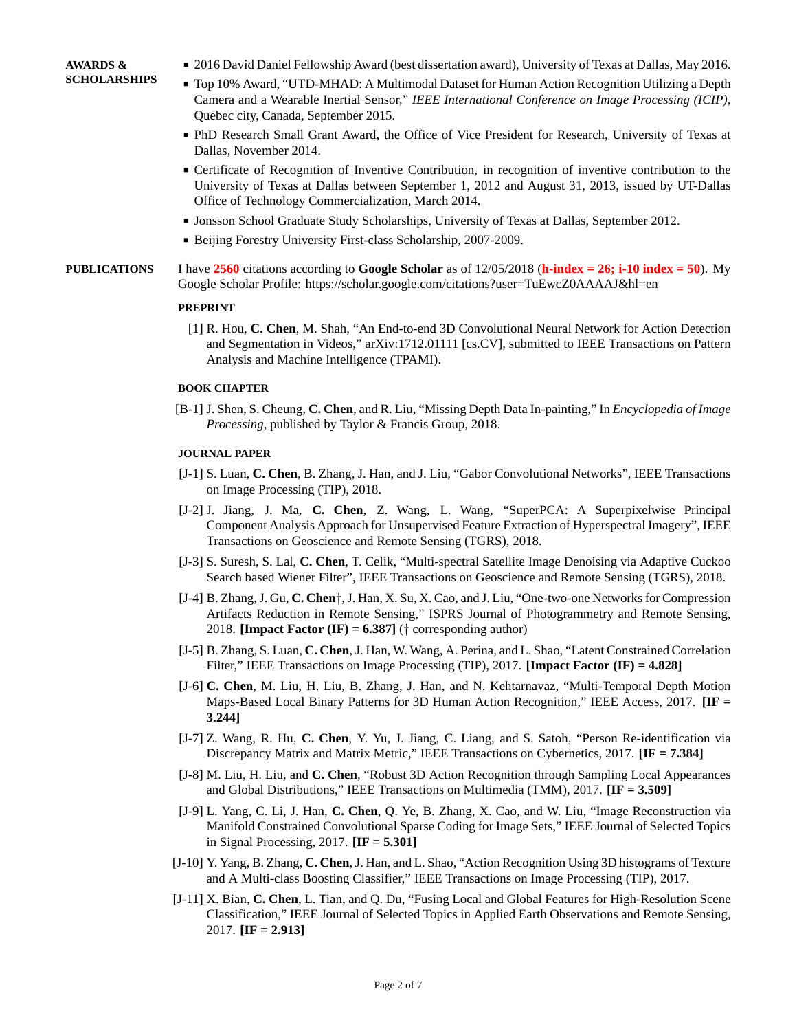- 2016 David Daniel Fellowship Award (best dissertation award), University of Texas at Dallas, May 2016.
- Top 10% Award, "UTD-MHAD: A Multimodal Dataset for Human Action Recognition Utilizing a Depth Camera and a Wearable Inertial Sensor," *IEEE International Conference on Image Processing (ICIP)*, Quebec city, Canada, September 2015.
- PhD Research Small Grant Award, the Office of Vice President for Research, University of Texas at Dallas, November 2014.
- Certificate of Recognition of Inventive Contribution, in recognition of inventive contribution to the University of Texas at Dallas between September 1, 2012 and August 31, 2013, issued by UT-Dallas Office of Technology Commercialization, March 2014.
- Jonsson School Graduate Study Scholarships, University of Texas at Dallas, September 2012.
- Beijing Forestry University First-class Scholarship, 2007-2009.

**PUBLICATIONS** I have **2560** citations according to **Google Scholar** as of 12/05/2018 (**h-index = 26; i-10 index = 50**). My Google Scholar Profile: https://scholar.google.com/citations?user=TuEwcZ0AAAAJ&hl=en

### **PREPRINT**

[1] R. Hou, **C. Chen**, M. Shah, "An End-to-end 3D Convolutional Neural Network for Action Detection and Segmentation in Videos," arXiv:1712.01111 [cs.CV], submitted to IEEE Transactions on Pattern Analysis and Machine Intelligence (TPAMI).

### **BOOK CHAPTER**

[B-1] J. Shen, S. Cheung, **C. Chen**, and R. Liu, "Missing Depth Data In-painting," In *Encyclopedia of Image Processing*, published by Taylor & Francis Group, 2018.

### **JOURNAL PAPER**

- [J-1] S. Luan, **C. Chen**, B. Zhang, J. Han, and J. Liu, "Gabor Convolutional Networks", IEEE Transactions on Image Processing (TIP), 2018.
- [J-2] J. Jiang, J. Ma, **C. Chen**, Z. Wang, L. Wang, "SuperPCA: A Superpixelwise Principal Component Analysis Approach for Unsupervised Feature Extraction of Hyperspectral Imagery", IEEE Transactions on Geoscience and Remote Sensing (TGRS), 2018.
- [J-3] S. Suresh, S. Lal, **C. Chen**, T. Celik, "Multi-spectral Satellite Image Denoising via Adaptive Cuckoo Search based Wiener Filter", IEEE Transactions on Geoscience and Remote Sensing (TGRS), 2018.
- [J-4] B. Zhang, J. Gu, **C. Chen***†*, J. Han, X. Su, X. Cao, and J. Liu, "One-two-one Networks for Compression Artifacts Reduction in Remote Sensing," ISPRS Journal of Photogrammetry and Remote Sensing, 2018. **[Impact Factor (IF) = 6.387]** (*†* corresponding author)
- [J-5] B. Zhang, S. Luan, **C. Chen**, J. Han, W. Wang, A. Perina, and L. Shao, "Latent Constrained Correlation Filter," IEEE Transactions on Image Processing (TIP), 2017. **[Impact Factor (IF) = 4.828]**
- [J-6] **C. Chen**, M. Liu, H. Liu, B. Zhang, J. Han, and N. Kehtarnavaz, "Multi-Temporal Depth Motion Maps-Based Local Binary Patterns for 3D Human Action Recognition," IEEE Access, 2017. **[IF = 3.244]**
- [J-7] Z. Wang, R. Hu, **C. Chen**, Y. Yu, J. Jiang, C. Liang, and S. Satoh, "Person Re-identification via Discrepancy Matrix and Matrix Metric," IEEE Transactions on Cybernetics, 2017. **[IF = 7.384]**
- [J-8] M. Liu, H. Liu, and **C. Chen**, "Robust 3D Action Recognition through Sampling Local Appearances and Global Distributions," IEEE Transactions on Multimedia (TMM), 2017. **[IF = 3.509]**
- [J-9] L. Yang, C. Li, J. Han, **C. Chen**, Q. Ye, B. Zhang, X. Cao, and W. Liu, "Image Reconstruction via Manifold Constrained Convolutional Sparse Coding for Image Sets," IEEE Journal of Selected Topics in Signal Processing, 2017. **[IF = 5.301]**
- [J-10] Y. Yang, B. Zhang, **C. Chen**, J. Han, and L. Shao, "Action Recognition Using 3D histograms of Texture and A Multi-class Boosting Classifier," IEEE Transactions on Image Processing (TIP), 2017.
- [J-11] X. Bian, **C. Chen**, L. Tian, and Q. Du, "Fusing Local and Global Features for High-Resolution Scene Classification," IEEE Journal of Selected Topics in Applied Earth Observations and Remote Sensing, 2017. **[IF = 2.913]**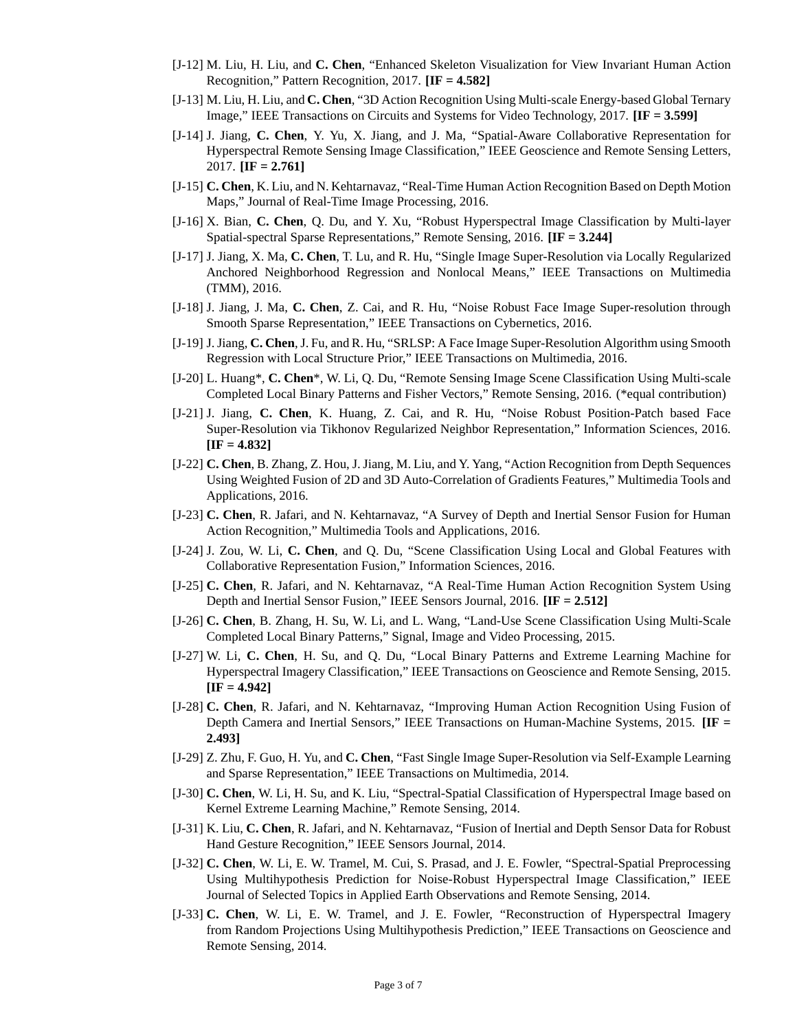- [J-12] M. Liu, H. Liu, and **C. Chen**, "Enhanced Skeleton Visualization for View Invariant Human Action Recognition," Pattern Recognition, 2017. **[IF = 4.582]**
- [J-13] M. Liu, H. Liu, and **C. Chen**, "3D Action Recognition Using Multi-scale Energy-based Global Ternary Image," IEEE Transactions on Circuits and Systems for Video Technology, 2017. **[IF = 3.599]**
- [J-14] J. Jiang, **C. Chen**, Y. Yu, X. Jiang, and J. Ma, "Spatial-Aware Collaborative Representation for Hyperspectral Remote Sensing Image Classification," IEEE Geoscience and Remote Sensing Letters, 2017. **[IF = 2.761]**
- [J-15] **C. Chen**, K. Liu, and N. Kehtarnavaz, "Real-Time Human Action Recognition Based on Depth Motion Maps," Journal of Real-Time Image Processing, 2016.
- [J-16] X. Bian, **C. Chen**, Q. Du, and Y. Xu, "Robust Hyperspectral Image Classification by Multi-layer Spatial-spectral Sparse Representations," Remote Sensing, 2016. **[IF = 3.244]**
- [J-17] J. Jiang, X. Ma, **C. Chen**, T. Lu, and R. Hu, "Single Image Super-Resolution via Locally Regularized Anchored Neighborhood Regression and Nonlocal Means," IEEE Transactions on Multimedia (TMM), 2016.
- [J-18] J. Jiang, J. Ma, **C. Chen**, Z. Cai, and R. Hu, "Noise Robust Face Image Super-resolution through Smooth Sparse Representation," IEEE Transactions on Cybernetics, 2016.
- [J-19] J. Jiang, **C. Chen**, J. Fu, and R. Hu, "SRLSP: A Face Image Super-Resolution Algorithm using Smooth Regression with Local Structure Prior," IEEE Transactions on Multimedia, 2016.
- [J-20] L. Huang\*, **C. Chen**\*, W. Li, Q. Du, "Remote Sensing Image Scene Classification Using Multi-scale Completed Local Binary Patterns and Fisher Vectors," Remote Sensing, 2016. (\*equal contribution)
- [J-21] J. Jiang, **C. Chen**, K. Huang, Z. Cai, and R. Hu, "Noise Robust Position-Patch based Face Super-Resolution via Tikhonov Regularized Neighbor Representation," Information Sciences, 2016. **[IF = 4.832]**
- [J-22] **C. Chen**, B. Zhang, Z. Hou, J. Jiang, M. Liu, and Y. Yang, "Action Recognition from Depth Sequences Using Weighted Fusion of 2D and 3D Auto-Correlation of Gradients Features," Multimedia Tools and Applications, 2016.
- [J-23] **C. Chen**, R. Jafari, and N. Kehtarnavaz, "A Survey of Depth and Inertial Sensor Fusion for Human Action Recognition," Multimedia Tools and Applications, 2016.
- [J-24] J. Zou, W. Li, **C. Chen**, and Q. Du, "Scene Classification Using Local and Global Features with Collaborative Representation Fusion," Information Sciences, 2016.
- [J-25] **C. Chen**, R. Jafari, and N. Kehtarnavaz, "A Real-Time Human Action Recognition System Using Depth and Inertial Sensor Fusion," IEEE Sensors Journal, 2016. **[IF = 2.512]**
- [J-26] **C. Chen**, B. Zhang, H. Su, W. Li, and L. Wang, "Land-Use Scene Classification Using Multi-Scale Completed Local Binary Patterns," Signal, Image and Video Processing, 2015.
- [J-27] W. Li, **C. Chen**, H. Su, and Q. Du, "Local Binary Patterns and Extreme Learning Machine for Hyperspectral Imagery Classification," IEEE Transactions on Geoscience and Remote Sensing, 2015. **[IF = 4.942]**
- [J-28] **C. Chen**, R. Jafari, and N. Kehtarnavaz, "Improving Human Action Recognition Using Fusion of Depth Camera and Inertial Sensors," IEEE Transactions on Human-Machine Systems, 2015. **[IF = 2.493]**
- [J-29] Z. Zhu, F. Guo, H. Yu, and **C. Chen**, "Fast Single Image Super-Resolution via Self-Example Learning and Sparse Representation," IEEE Transactions on Multimedia, 2014.
- [J-30] **C. Chen**, W. Li, H. Su, and K. Liu, "Spectral-Spatial Classification of Hyperspectral Image based on Kernel Extreme Learning Machine," Remote Sensing, 2014.
- [J-31] K. Liu, **C. Chen**, R. Jafari, and N. Kehtarnavaz, "Fusion of Inertial and Depth Sensor Data for Robust Hand Gesture Recognition," IEEE Sensors Journal, 2014.
- [J-32] **C. Chen**, W. Li, E. W. Tramel, M. Cui, S. Prasad, and J. E. Fowler, "Spectral-Spatial Preprocessing Using Multihypothesis Prediction for Noise-Robust Hyperspectral Image Classification," IEEE Journal of Selected Topics in Applied Earth Observations and Remote Sensing, 2014.
- [J-33] **C. Chen**, W. Li, E. W. Tramel, and J. E. Fowler, "Reconstruction of Hyperspectral Imagery from Random Projections Using Multihypothesis Prediction," IEEE Transactions on Geoscience and Remote Sensing, 2014.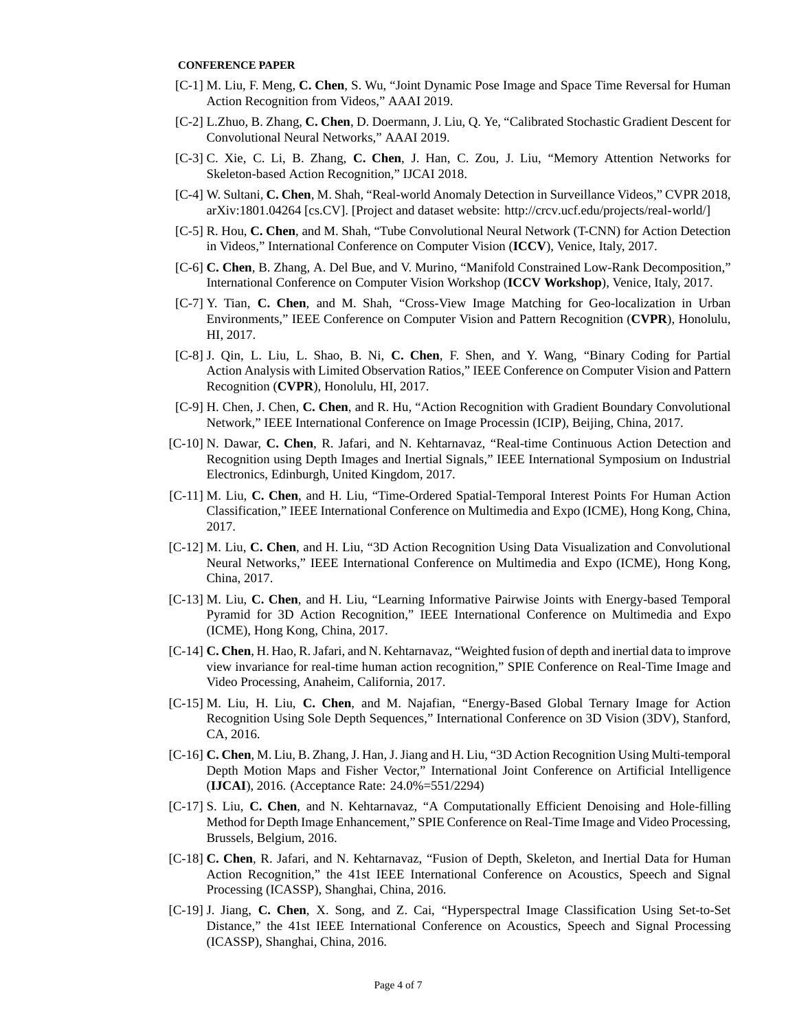### **CONFERENCE PAPER**

- [C-1] M. Liu, F. Meng, **C. Chen**, S. Wu, "Joint Dynamic Pose Image and Space Time Reversal for Human Action Recognition from Videos," AAAI 2019.
- [C-2] L.Zhuo, B. Zhang, **C. Chen**, D. Doermann, J. Liu, Q. Ye, "Calibrated Stochastic Gradient Descent for Convolutional Neural Networks," AAAI 2019.
- [C-3] C. Xie, C. Li, B. Zhang, **C. Chen**, J. Han, C. Zou, J. Liu, "Memory Attention Networks for Skeleton-based Action Recognition," IJCAI 2018.
- [C-4] W. Sultani, **C. Chen**, M. Shah, "Real-world Anomaly Detection in Surveillance Videos," CVPR 2018, arXiv:1801.04264 [cs.CV]. [Project and dataset website: [http://crcv.ucf.edu/projects/real-world/\]](http://crcv.ucf.edu/projects/real-world/)
- [C-5] R. Hou, **C. Chen**, and M. Shah, "Tube Convolutional Neural Network (T-CNN) for Action Detection in Videos," International Conference on Computer Vision (**ICCV**), Venice, Italy, 2017.
- [C-6] **C. Chen**, B. Zhang, A. Del Bue, and V. Murino, "Manifold Constrained Low-Rank Decomposition," International Conference on Computer Vision Workshop (**ICCV Workshop**), Venice, Italy, 2017.
- [C-7] Y. Tian, **C. Chen**, and M. Shah, "Cross-View Image Matching for Geo-localization in Urban Environments," IEEE Conference on Computer Vision and Pattern Recognition (**CVPR**), Honolulu, HI, 2017.
- [C-8] J. Qin, L. Liu, L. Shao, B. Ni, **C. Chen**, F. Shen, and Y. Wang, "Binary Coding for Partial Action Analysis with Limited Observation Ratios," IEEE Conference on Computer Vision and Pattern Recognition (**CVPR**), Honolulu, HI, 2017.
- [C-9] H. Chen, J. Chen, **C. Chen**, and R. Hu, "Action Recognition with Gradient Boundary Convolutional Network," IEEE International Conference on Image Processin (ICIP), Beijing, China, 2017.
- [C-10] N. Dawar, **C. Chen**, R. Jafari, and N. Kehtarnavaz, "Real-time Continuous Action Detection and Recognition using Depth Images and Inertial Signals," IEEE International Symposium on Industrial Electronics, Edinburgh, United Kingdom, 2017.
- [C-11] M. Liu, **C. Chen**, and H. Liu, "Time-Ordered Spatial-Temporal Interest Points For Human Action Classification," IEEE International Conference on Multimedia and Expo (ICME), Hong Kong, China, 2017.
- [C-12] M. Liu, **C. Chen**, and H. Liu, "3D Action Recognition Using Data Visualization and Convolutional Neural Networks," IEEE International Conference on Multimedia and Expo (ICME), Hong Kong, China, 2017.
- [C-13] M. Liu, **C. Chen**, and H. Liu, "Learning Informative Pairwise Joints with Energy-based Temporal Pyramid for 3D Action Recognition," IEEE International Conference on Multimedia and Expo (ICME), Hong Kong, China, 2017.
- [C-14] **C. Chen**, H. Hao, R. Jafari, and N. Kehtarnavaz, "Weighted fusion of depth and inertial data to improve view invariance for real-time human action recognition," SPIE Conference on Real-Time Image and Video Processing, Anaheim, California, 2017.
- [C-15] M. Liu, H. Liu, **C. Chen**, and M. Najafian, "Energy-Based Global Ternary Image for Action Recognition Using Sole Depth Sequences," International Conference on 3D Vision (3DV), Stanford, CA, 2016.
- [C-16] **C. Chen**, M. Liu, B. Zhang, J. Han, J. Jiang and H. Liu, "3D Action Recognition Using Multi-temporal Depth Motion Maps and Fisher Vector," International Joint Conference on Artificial Intelligence (**IJCAI**), 2016. (Acceptance Rate: 24.0%=551/2294)
- [C-17] S. Liu, **C. Chen**, and N. Kehtarnavaz, "A Computationally Efficient Denoising and Hole-filling Method for Depth Image Enhancement," SPIE Conference on Real-Time Image and Video Processing, Brussels, Belgium, 2016.
- [C-18] **C. Chen**, R. Jafari, and N. Kehtarnavaz, "Fusion of Depth, Skeleton, and Inertial Data for Human Action Recognition," the 41st IEEE International Conference on Acoustics, Speech and Signal Processing (ICASSP), Shanghai, China, 2016.
- [C-19] J. Jiang, **C. Chen**, X. Song, and Z. Cai, "Hyperspectral Image Classification Using Set-to-Set Distance," the 41st IEEE International Conference on Acoustics, Speech and Signal Processing (ICASSP), Shanghai, China, 2016.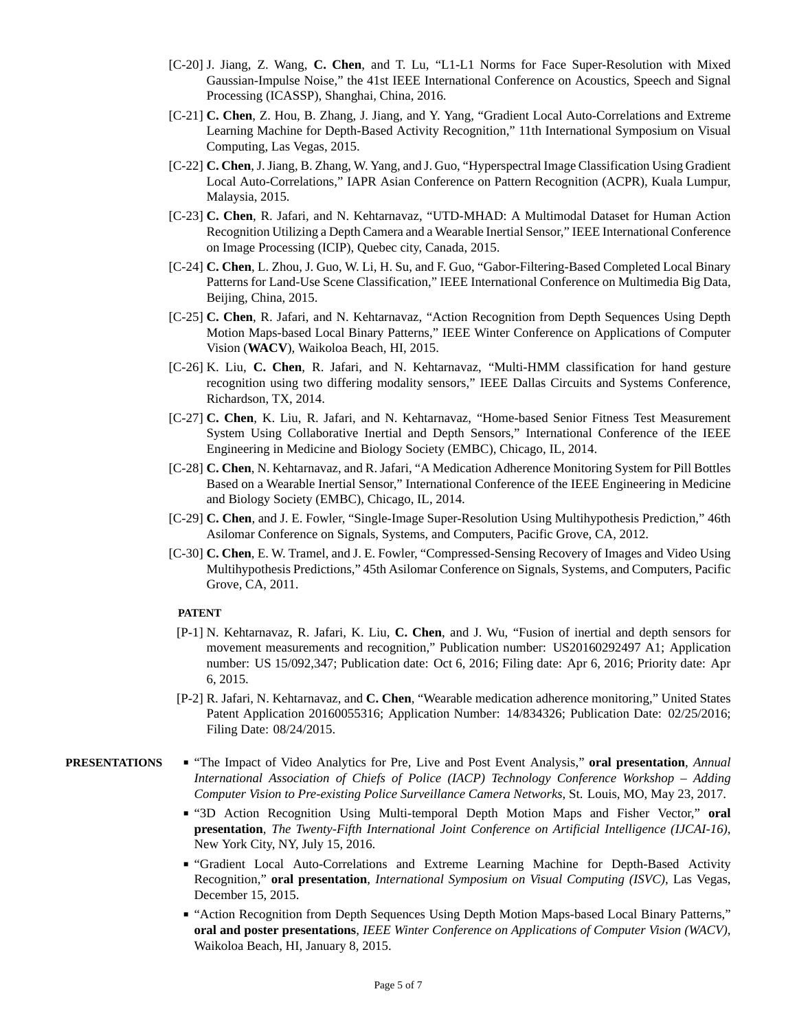- [C-20] J. Jiang, Z. Wang, **C. Chen**, and T. Lu, "L1-L1 Norms for Face Super-Resolution with Mixed Gaussian-Impulse Noise," the 41st IEEE International Conference on Acoustics, Speech and Signal Processing (ICASSP), Shanghai, China, 2016.
- [C-21] **C. Chen**, Z. Hou, B. Zhang, J. Jiang, and Y. Yang, "Gradient Local Auto-Correlations and Extreme Learning Machine for Depth-Based Activity Recognition," 11th International Symposium on Visual Computing, Las Vegas, 2015.
- [C-22] **C. Chen**, J. Jiang, B. Zhang, W. Yang, and J. Guo, "Hyperspectral Image Classification Using Gradient Local Auto-Correlations," IAPR Asian Conference on Pattern Recognition (ACPR), Kuala Lumpur, Malaysia, 2015.
- [C-23] **C. Chen**, R. Jafari, and N. Kehtarnavaz, "UTD-MHAD: A Multimodal Dataset for Human Action Recognition Utilizing a Depth Camera and a Wearable Inertial Sensor," IEEE International Conference on Image Processing (ICIP), Quebec city, Canada, 2015.
- [C-24] **C. Chen**, L. Zhou, J. Guo, W. Li, H. Su, and F. Guo, "Gabor-Filtering-Based Completed Local Binary Patterns for Land-Use Scene Classification," IEEE International Conference on Multimedia Big Data, Beijing, China, 2015.
- [C-25] **C. Chen**, R. Jafari, and N. Kehtarnavaz, "Action Recognition from Depth Sequences Using Depth Motion Maps-based Local Binary Patterns," IEEE Winter Conference on Applications of Computer Vision (**WACV**), Waikoloa Beach, HI, 2015.
- [C-26] K. Liu, **C. Chen**, R. Jafari, and N. Kehtarnavaz, "Multi-HMM classification for hand gesture recognition using two differing modality sensors," IEEE Dallas Circuits and Systems Conference, Richardson, TX, 2014.
- [C-27] **C. Chen**, K. Liu, R. Jafari, and N. Kehtarnavaz, "Home-based Senior Fitness Test Measurement System Using Collaborative Inertial and Depth Sensors," International Conference of the IEEE Engineering in Medicine and Biology Society (EMBC), Chicago, IL, 2014.
- [C-28] **C. Chen**, N. Kehtarnavaz, and R. Jafari, "A Medication Adherence Monitoring System for Pill Bottles Based on a Wearable Inertial Sensor," International Conference of the IEEE Engineering in Medicine and Biology Society (EMBC), Chicago, IL, 2014.
- [C-29] **C. Chen**, and J. E. Fowler, "Single-Image Super-Resolution Using Multihypothesis Prediction," 46th Asilomar Conference on Signals, Systems, and Computers, Pacific Grove, CA, 2012.
- [C-30] **C. Chen**, E. W. Tramel, and J. E. Fowler, "Compressed-Sensing Recovery of Images and Video Using Multihypothesis Predictions," 45th Asilomar Conference on Signals, Systems, and Computers, Pacific Grove, CA, 2011.

### **PATENT**

- [P-1] N. Kehtarnavaz, R. Jafari, K. Liu, **C. Chen**, and J. Wu, "Fusion of inertial and depth sensors for movement measurements and recognition," Publication number: US20160292497 A1; Application number: US 15/092,347; Publication date: Oct 6, 2016; Filing date: Apr 6, 2016; Priority date: Apr 6, 2015.
- [P-2] R. Jafari, N. Kehtarnavaz, and **C. Chen**, "Wearable medication adherence monitoring," United States Patent Application 20160055316; Application Number: 14/834326; Publication Date: 02/25/2016; Filing Date: 08/24/2015.
- <span id="page-4-0"></span>**PRESENTATIONS** ■ "The Impact of Video Analytics for Pre, Live and Post Event Analysis," **oral presentation**, *Annual International Association of Chiefs of Police (IACP) Technology Conference Workshop – Adding Computer Vision to Pre-existing Police Surveillance Camera Networks*, St. Louis, MO, May 23, 2017.
	- "3D Action Recognition Using Multi-temporal Depth Motion Maps and Fisher Vector," **oral presentation**, *The Twenty-Fifth International Joint Conference on Artificial Intelligence (IJCAI-16)*, New York City, NY, July 15, 2016.
	- "Gradient Local Auto-Correlations and Extreme Learning Machine for Depth-Based Activity Recognition," **oral presentation**, *International Symposium on Visual Computing (ISVC)*, Las Vegas, December 15, 2015.
	- "Action Recognition from Depth Sequences Using Depth Motion Maps-based Local Binary Patterns," **oral and poster presentations**, *IEEE Winter Conference on Applications of Computer Vision (WACV)*, Waikoloa Beach, HI, January 8, 2015.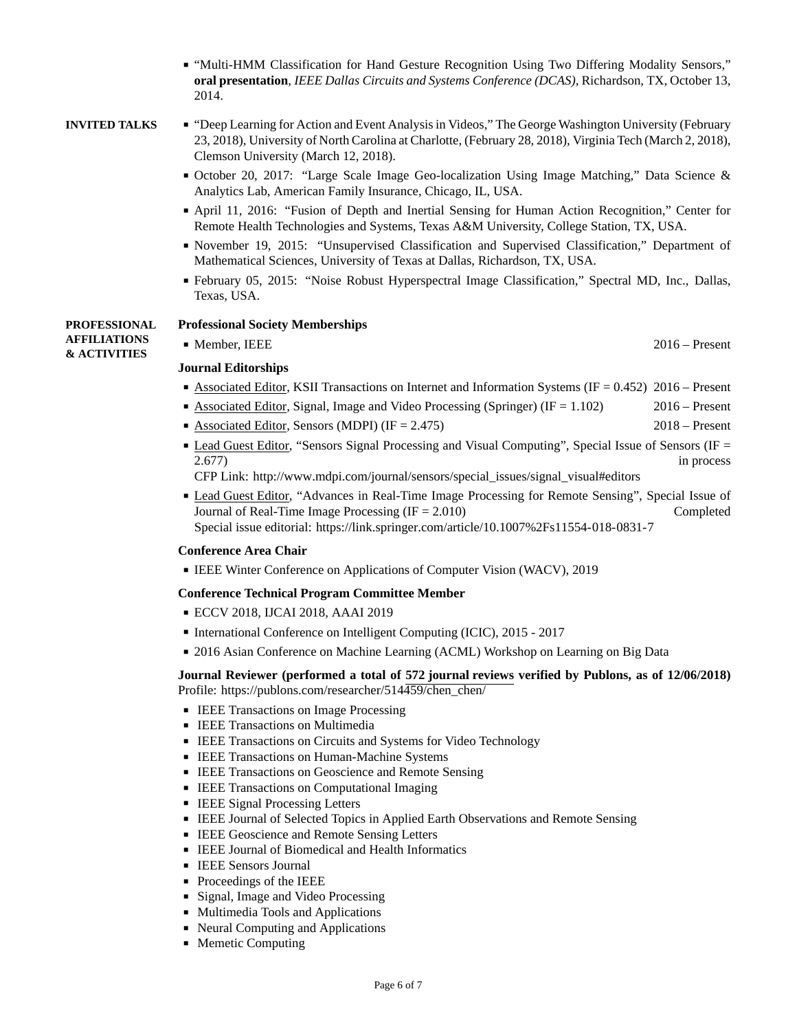■ "Multi-HMM Classification for Hand Gesture Recognition Using Two Differing Modality Sensors," **oral presentation**, *IEEE Dallas Circuits and Systems Conference (DCAS)*, Richardson, TX, October 13, 2014.

- **INVITED TALKS** "Deep Learning for Action and Event Analysis in Videos," The George Washington University (February 23, 2018), University of North Carolina at Charlotte, (February 28, 2018), Virginia Tech (March 2, 2018), Clemson University (March 12, 2018).
	- October 20, 2017: "Large Scale Image Geo-localization Using Image Matching," Data Science & Analytics Lab, American Family Insurance, Chicago, IL, USA.
	- April 11, 2016: "Fusion of Depth and Inertial Sensing for Human Action Recognition," Center for Remote Health Technologies and Systems, Texas A&M University, College Station, TX, USA.
	- November 19, 2015: "Unsupervised Classification and Supervised Classification," Department of Mathematical Sciences, University of Texas at Dallas, Richardson, TX, USA.
	- February 05, 2015: "Noise Robust Hyperspectral Image Classification," Spectral MD, Inc., Dallas, Texas, USA.

### **PROFESSIONAL Professional Society Memberships**

**AFFILIATIONS & ACTIVITIES**

# **Journal Editorships**

■ Associated Editor, KSII Transactions on Internet and Information Systems (IF = 0.452) 2016 – Present

■ Member, IEEE 2016 – Present

- Associated Editor, Signal, Image and Video Processing (Springer) (IF = 1.102) 2016 Present
- Associated Editor, Sensors (MDPI) (IF = 2.475) 2018 Present
- Lead Guest Editor, "Sensors Signal Processing and Visual Computing", Special Issue of Sensors (IF = 2.677) in process and the contract of the contract of the contract of the contract of the contract of the contract of the contract of the contract of the contract of the contract of the contract of the contract of the cont

CFP Link: [http://www.mdpi.com/journal/sensors/special\\_issues/signal\\_visual#editors](http://www.mdpi.com/journal/sensors/special_issues/signal_visual#editors)

■ Lead Guest Editor, "Advances in Real-Time Image Processing for Remote Sensing", Special Issue of Journal of Real-Time Image Processing (IF = 2.010) Completed Special issue editorial: <https://link.springer.com/article/10.1007%2Fs11554-018-0831-7>

# **Conference Area Chair**

■ IEEE Winter Conference on Applications of Computer Vision (WACV), 2019

# **Conference Technical Program Committee Member**

- ECCV 2018, IJCAI 2018, AAAI 2019
- International Conference on Intelligent Computing (ICIC), 2015 2017
- 2016 Asian Conference on Machine Learning (ACML) Workshop on Learning on Big Data

# **Journal Reviewer (performed a total of 572 journal reviews verified by Publons, as of 12/06/2018)** Profile: https://publons.com/researcher/514459/chen\_chen/

- IEEE Transactions on Image Processing
- IEEE Transactions on Multimedia
- IEEE Transactions on Circuits and Systems for Video Technology
- IEEE Transactions on Human-Machine Systems
- IEEE Transactions on Geoscience and Remote Sensing
- IEEE Transactions on Computational Imaging
- IEEE Signal Processing Letters
- IEEE Journal of Selected Topics in Applied Earth Observations and Remote Sensing
- IEEE Geoscience and Remote Sensing Letters
- IEEE Journal of Biomedical and Health Informatics
- IEEE Sensors Journal
- Proceedings of the IEEE
- Signal, Image and Video Processing
- Multimedia Tools and Applications
- Neural Computing and Applications
- Memetic Computing